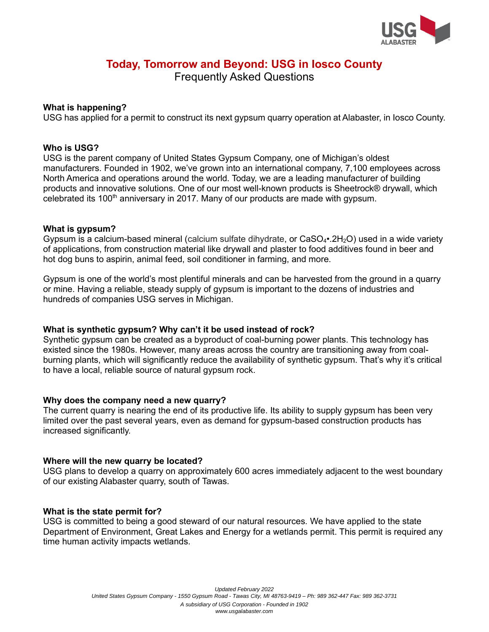

# **Today, Tomorrow and Beyond: USG in Iosco County**

Frequently Asked Questions

## **What is happening?**

USG has applied for a permit to construct its next gypsum quarry operation at Alabaster, in Iosco County.

### **Who is USG?**

USG is the parent company of United States Gypsum Company, one of Michigan's oldest manufacturers. Founded in 1902, we've grown into an international company, 7,100 employees across North America and operations around the world. Today, we are a leading manufacturer of building products and innovative solutions. One of our most well-known products is Sheetrock® drywall, which celebrated its 100<sup>th</sup> anniversary in 2017. Many of our products are made with gypsum.

## **What is gypsum?**

Gypsum is a calcium-based mineral (calcium sulfate dihydrate, or  $CaSO<sub>4</sub>•.2H<sub>2</sub>O$ ) used in a wide variety of applications, from construction material like drywall and plaster to food additives found in beer and hot dog buns to aspirin, animal feed, soil conditioner in farming, and more.

Gypsum is one of the world's most plentiful minerals and can be harvested from the ground in a quarry or mine. Having a reliable, steady supply of gypsum is important to the dozens of industries and hundreds of companies USG serves in Michigan.

#### **What is synthetic gypsum? Why can't it be used instead of rock?**

Synthetic gypsum can be created as a byproduct of coal-burning power plants. This technology has existed since the 1980s. However, many areas across the country are transitioning away from coalburning plants, which will significantly reduce the availability of synthetic gypsum. That's why it's critical to have a local, reliable source of natural gypsum rock.

#### **Why does the company need a new quarry?**

The current quarry is nearing the end of its productive life. Its ability to supply gypsum has been very limited over the past several years, even as demand for gypsum-based construction products has increased significantly.

#### **Where will the new quarry be located?**

USG plans to develop a quarry on approximately 600 acres immediately adjacent to the west boundary of our existing Alabaster quarry, south of Tawas.

#### **What is the state permit for?**

USG is committed to being a good steward of our natural resources. We have applied to the state Department of Environment, Great Lakes and Energy for a wetlands permit. This permit is required any time human activity impacts wetlands.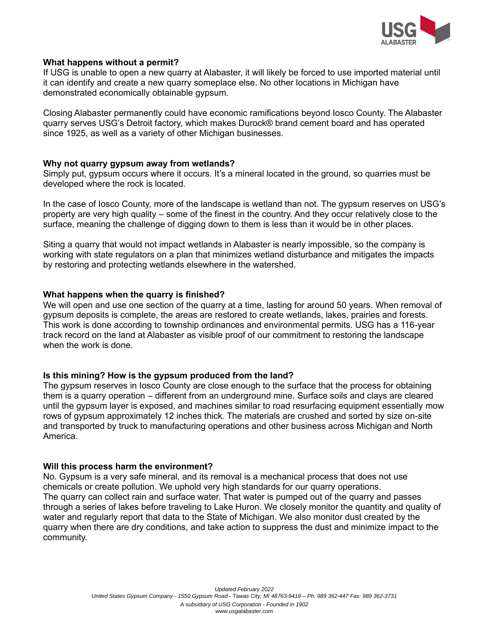

## **What happens without a permit?**

If USG is unable to open a new quarry at Alabaster, it will likely be forced to use imported material until it can identify and create a new quarry someplace else. No other locations in Michigan have demonstrated economically obtainable gypsum.

Closing Alabaster permanently could have economic ramifications beyond Iosco County. The Alabaster quarry serves USG's Detroit factory, which makes Durock® brand cement board and has operated since 1925, as well as a variety of other Michigan businesses.

#### **Why not quarry gypsum away from wetlands?**

Simply put, gypsum occurs where it occurs. It's a mineral located in the ground, so quarries must be developed where the rock is located.

In the case of Iosco County, more of the landscape is wetland than not. The gypsum reserves on USG's property are very high quality – some of the finest in the country. And they occur relatively close to the surface, meaning the challenge of digging down to them is less than it would be in other places.

Siting a quarry that would not impact wetlands in Alabaster is nearly impossible, so the company is working with state regulators on a plan that minimizes wetland disturbance and mitigates the impacts by restoring and protecting wetlands elsewhere in the watershed.

## **What happens when the quarry is finished?**

We will open and use one section of the quarry at a time, lasting for around 50 years. When removal of gypsum deposits is complete, the areas are restored to create wetlands, lakes, prairies and forests. This work is done according to township ordinances and environmental permits. USG has a 116-year track record on the land at Alabaster as visible proof of our commitment to restoring the landscape when the work is done.

#### **Is this mining? How is the gypsum produced from the land?**

The gypsum reserves in Iosco County are close enough to the surface that the process for obtaining them is a quarry operation – different from an underground mine. Surface soils and clays are cleared until the gypsum layer is exposed, and machines similar to road resurfacing equipment essentially mow rows of gypsum approximately 12 inches thick. The materials are crushed and sorted by size on-site and transported by truck to manufacturing operations and other business across Michigan and North America.

#### **Will this process harm the environment?**

No. Gypsum is a very safe mineral, and its removal is a mechanical process that does not use chemicals or create pollution. We uphold very high standards for our quarry operations. The quarry can collect rain and surface water. That water is pumped out of the quarry and passes through a series of lakes before traveling to Lake Huron. We closely monitor the quantity and quality of water and regularly report that data to the State of Michigan. We also monitor dust created by the quarry when there are dry conditions, and take action to suppress the dust and minimize impact to the community.